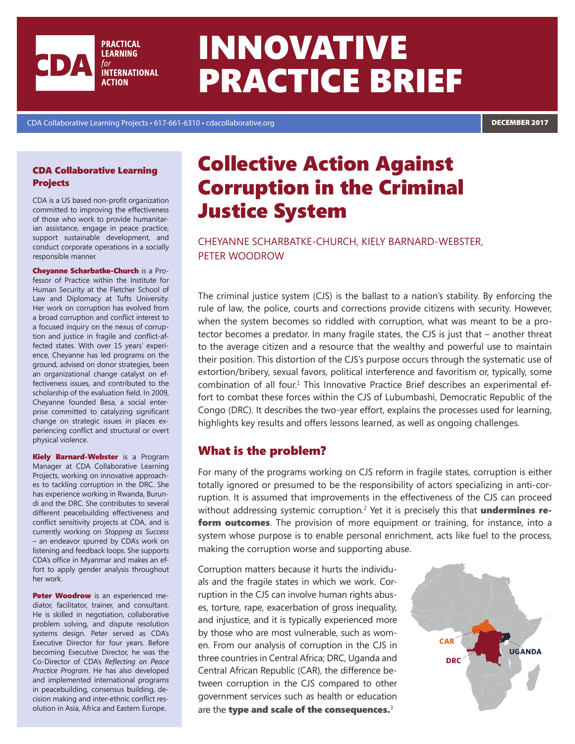

# INNOVATIVE PRACTICE BRIEF

CDA Collaborative Learning Projects • 617-661-6310 • cdacollaborative.org DECEMBER 2017

#### CDA Collaborative Learning Projects

CDA is a US based non-profit organization committed to improving the effectiveness of those who work to provide humanitarian assistance, engage in peace practice, support sustainable development, and conduct corporate operations in a socially responsible manner.

Cheyanne Scharbatke-Church is a Professor of Practice within the Institute for Human Security at the Fletcher School of Law and Diplomacy at Tufts University. Her work on corruption has evolved from a broad corruption and conflict interest to a focused inquiry on the nexus of corruption and justice in fragile and conflict-affected states. With over 15 years' experience, Cheyanne has led programs on the ground, advised on donor strategies, been an organizational change catalyst on effectiveness issues, and contributed to the scholarship of the evaluation field. In 2009, Cheyanne founded Besa, a social enterprise committed to catalyzing significant change on strategic issues in places experiencing conflict and structural or overt physical violence.

**Kiely Barnard-Webster** is a Program Manager at CDA Collaborative Learning Projects, working on innovative approaches to tackling corruption in the DRC. She has experience working in Rwanda, Burundi and the DRC. She contributes to several different peacebuilding effectiveness and conflict sensitivity projects at CDA, and is currently working on *Stopping as Success*  – an endeavor spurred by CDA's work on listening and feedback loops. She supports CDA's office in Myanmar and makes an effort to apply gender analysis throughout her work.

Peter Woodrow is an experienced mediator, facilitator, trainer, and consultant. He is skilled in negotiation, collaborative problem solving, and dispute resolution systems design. Peter served as CDA's Executive Director for four years. Before becoming Executive Director, he was the Co-Director of CDA's *Reflecting on Peace Practice Program*. He has also developed and implemented international programs in peacebuilding, consensus building, decision making and inter-ethnic conflict resolution in Asia, Africa and Eastern Europe.

## Collective Action Against Corruption in the Criminal Justice System

Cheyanne Scharbatke-Church, Kiely Barnard-Webster, Peter Woodrow

The criminal justice system (CJS) is the ballast to a nation's stability. By enforcing the rule of law, the police, courts and corrections provide citizens with security. However, when the system becomes so riddled with corruption, what was meant to be a protector becomes a predator. In many fragile states, the CJS is just that – another threat to the average citizen and a resource that the wealthy and powerful use to maintain their position. This distortion of the CJS's purpose occurs through the systematic use of extortion/bribery, sexual favors, political interference and favoritism or, typically, some combination of all four.<sup>1</sup> This Innovative Practice Brief describes an experimental effort to combat these forces within the CJS of Lubumbashi, Democratic Republic of the Congo (DRC). It describes the two-year effort, explains the processes used for learning, highlights key results and offers lessons learned, as well as ongoing challenges.

## What is the problem?

For many of the programs working on CJS reform in fragile states, corruption is either totally ignored or presumed to be the responsibility of actors specializing in anti-corruption. It is assumed that improvements in the effectiveness of the CJS can proceed without addressing systemic corruption.<sup>2</sup> Yet it is precisely this that **undermines reform outcomes**. The provision of more equipment or training, for instance, into a system whose purpose is to enable personal enrichment, acts like fuel to the process, making the corruption worse and supporting abuse.

Corruption matters because it hurts the individuals and the fragile states in which we work. Corruption in the CJS can involve human rights abuses, torture, rape, exacerbation of gross inequality, and injustice, and it is typically experienced more by those who are most vulnerable, such as women. From our analysis of corruption in the CJS in three countries in Central Africa; DRC, Uganda and Central African Republic (CAR), the difference between corruption in the CJS compared to other government services such as health or education are the type and scale of the consequences.<sup>3</sup>

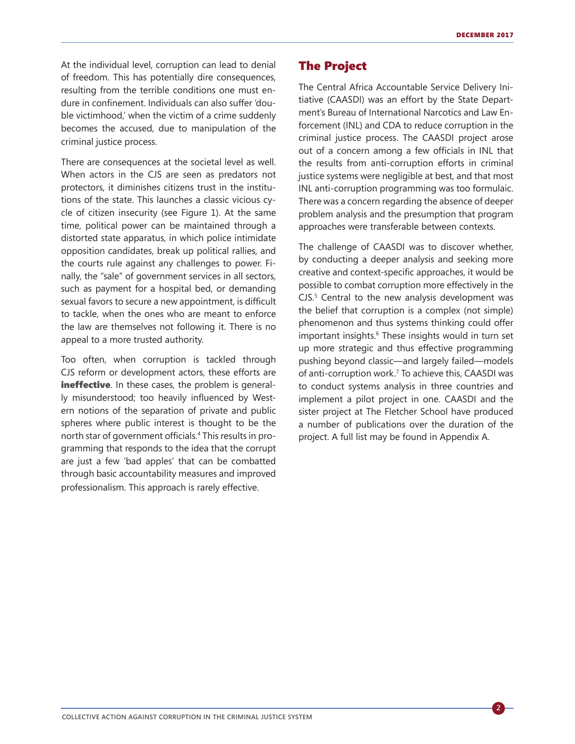**2**

At the individual level, corruption can lead to denial of freedom. This has potentially dire consequences, resulting from the terrible conditions one must endure in confinement. Individuals can also suffer 'double victimhood,' when the victim of a crime suddenly becomes the accused, due to manipulation of the criminal justice process.

There are consequences at the societal level as well. When actors in the CJS are seen as predators not protectors, it diminishes citizens trust in the institutions of the state. This launches a classic vicious cycle of citizen insecurity (see Figure 1). At the same time, political power can be maintained through a distorted state apparatus, in which police intimidate opposition candidates, break up political rallies, and the courts rule against any challenges to power. Finally, the "sale" of government services in all sectors, such as payment for a hospital bed, or demanding sexual favors to secure a new appointment, is difficult to tackle, when the ones who are meant to enforce the law are themselves not following it. There is no appeal to a more trusted authority.

Too often, when corruption is tackled through CJS reform or development actors, these efforts are ineffective. In these cases, the problem is generally misunderstood; too heavily influenced by Western notions of the separation of private and public spheres where public interest is thought to be the north star of government officials.<sup>4</sup> This results in programming that responds to the idea that the corrupt are just a few 'bad apples' that can be combatted through basic accountability measures and improved professionalism. This approach is rarely effective.

## The Project

The Central Africa Accountable Service Delivery Initiative (CAASDI) was an effort by the State Department's Bureau of International Narcotics and Law Enforcement (INL) and CDA to reduce corruption in the criminal justice process. The CAASDI project arose out of a concern among a few officials in INL that the results from anti-corruption efforts in criminal justice systems were negligible at best, and that most INL anti-corruption programming was too formulaic. There was a concern regarding the absence of deeper problem analysis and the presumption that program approaches were transferable between contexts.

The challenge of CAASDI was to discover whether, by conducting a deeper analysis and seeking more creative and context-specific approaches, it would be possible to combat corruption more effectively in the  $CJS<sup>5</sup>$  Central to the new analysis development was the belief that corruption is a complex (not simple) phenomenon and thus systems thinking could offer important insights.<sup>6</sup> These insights would in turn set up more strategic and thus effective programming pushing beyond classic—and largely failed—models of anti-corruption work.7 To achieve this, CAASDI was to conduct systems analysis in three countries and implement a pilot project in one. CAASDI and the sister project at The Fletcher School have produced a number of publications over the duration of the project. A full list may be found in Appendix A.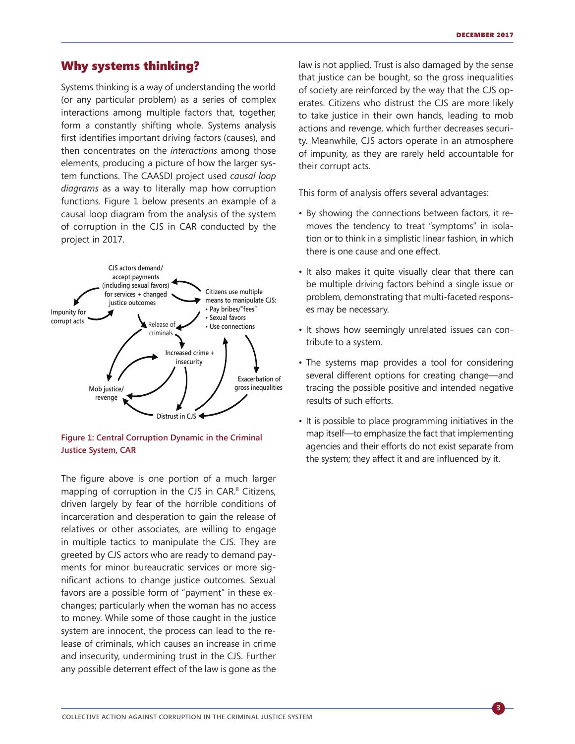#### Why systems thinking?

Systems thinking is a way of understanding the world (or any particular problem) as a series of complex interactions among multiple factors that, together, form a constantly shifting whole. Systems analysis first identifies important driving factors (causes), and then concentrates on the *interactions* among those elements, producing a picture of how the larger system functions. The CAASDI project used *causal loop diagrams* as a way to literally map how corruption functions. Figure 1 below presents an example of a causal loop diagram from the analysis of the system of corruption in the CJS in CAR conducted by the project in 2017.



**Figure 1: Central Corruption Dynamic in the Criminal Justice System, CAR**

The figure above is one portion of a much larger mapping of corruption in the CJS in CAR. 8 Citizens, driven largely by fear of the horrible conditions of incarceration and desperation to gain the release of relatives or other associates, are willing to engage in multiple tactics to manipulate the CJS. They are greeted by CJS actors who are ready to demand payments for minor bureaucratic services or more significant actions to change justice outcomes. Sexual favors are a possible form of "payment" in these exchanges; particularly when the woman has no access to money. While some of those caught in the justice system are innocent, the process can lead to the release of criminals, which causes an increase in crime and insecurity, undermining trust in the CJS. Further any possible deterrent effect of the law is gone as the

law is not applied. Trust is also damaged by the sense that justice can be bought, so the gross inequalities of society are reinforced by the way that the CJS operates. Citizens who distrust the CJS are more likely to take justice in their own hands, leading to mob actions and revenge, which further decreases security. Meanwhile, CJS actors operate in an atmosphere of impunity, as they are rarely held accountable for their corrupt acts.

This form of analysis offers several advantages:

- By showing the connections between factors, it removes the tendency to treat "symptoms" in isolation or to think in a simplistic linear fashion, in which there is one cause and one effect.
- It also makes it quite visually clear that there can be multiple driving factors behind a single issue or problem, demonstrating that multi-faceted responses may be necessary.
- It shows how seemingly unrelated issues can contribute to a system.
- The systems map provides a tool for considering several different options for creating change—and tracing the possible positive and intended negative results of such efforts.
- It is possible to place programming initiatives in the map itself—to emphasize the fact that implementing agencies and their efforts do not exist separate from the system; they affect it and are influenced by it.

**3**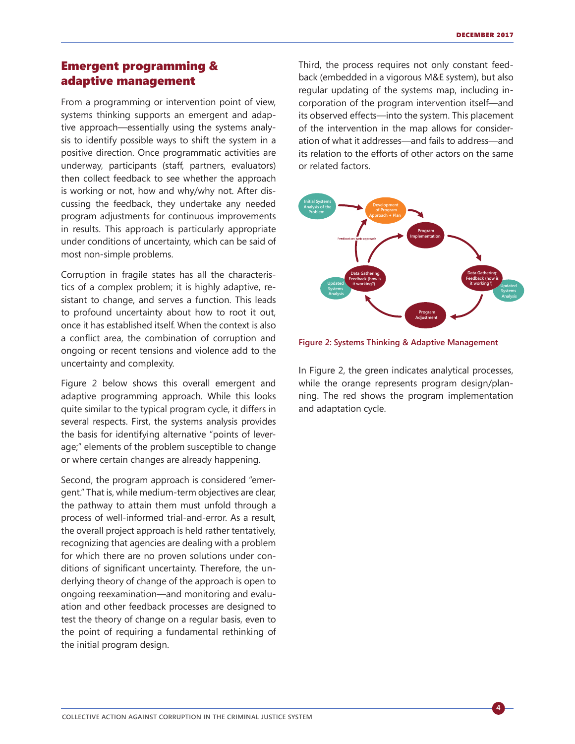**4**

## Emergent programming & adaptive management

From a programming or intervention point of view, systems thinking supports an emergent and adaptive approach—essentially using the systems analysis to identify possible ways to shift the system in a positive direction. Once programmatic activities are underway, participants (staff, partners, evaluators) then collect feedback to see whether the approach is working or not, how and why/why not. After discussing the feedback, they undertake any needed program adjustments for continuous improvements in results. This approach is particularly appropriate under conditions of uncertainty, which can be said of most non-simple problems.

Corruption in fragile states has all the characteristics of a complex problem; it is highly adaptive, resistant to change, and serves a function. This leads to profound uncertainty about how to root it out, once it has established itself. When the context is also a conflict area, the combination of corruption and ongoing or recent tensions and violence add to the uncertainty and complexity.

Figure 2 below shows this overall emergent and adaptive programming approach. While this looks quite similar to the typical program cycle, it differs in several respects. First, the systems analysis provides the basis for identifying alternative "points of leverage;" elements of the problem susceptible to change or where certain changes are already happening.

Second, the program approach is considered "emergent." That is, while medium-term objectives are clear, the pathway to attain them must unfold through a process of well-informed trial-and-error. As a result, the overall project approach is held rather tentatively, recognizing that agencies are dealing with a problem for which there are no proven solutions under conditions of significant uncertainty. Therefore, the underlying theory of change of the approach is open to ongoing reexamination—and monitoring and evaluation and other feedback processes are designed to test the theory of change on a regular basis, even to the point of requiring a fundamental rethinking of the initial program design.

Third, the process requires not only constant feedback (embedded in a vigorous M&E system), but also regular updating of the systems map, including incorporation of the program intervention itself—and its observed effects—into the system. This placement of the intervention in the map allows for consideration of what it addresses—and fails to address—and its relation to the efforts of other actors on the same or related factors.



**Figure 2: Systems Thinking & Adaptive Management**

In Figure 2, the green indicates analytical processes, while the orange represents program design/planning. The red shows the program implementation and adaptation cycle.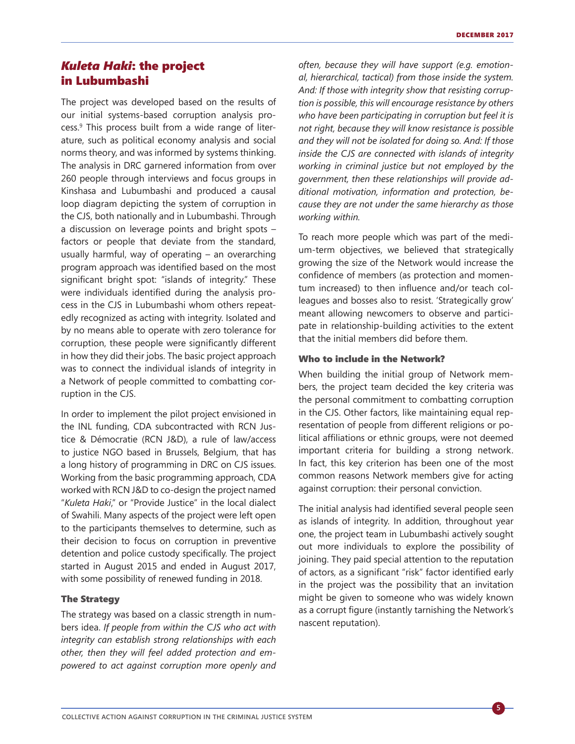## *Kuleta Haki*: the project in Lubumbashi

The project was developed based on the results of our initial systems-based corruption analysis process.<sup>9</sup> This process built from a wide range of literature, such as political economy analysis and social norms theory, and was informed by systems thinking. The analysis in DRC garnered information from over 260 people through interviews and focus groups in Kinshasa and Lubumbashi and produced a causal loop diagram depicting the system of corruption in the CJS, both nationally and in Lubumbashi. Through a discussion on leverage points and bright spots – factors or people that deviate from the standard, usually harmful, way of operating – an overarching program approach was identified based on the most significant bright spot: "islands of integrity." These were individuals identified during the analysis process in the CJS in Lubumbashi whom others repeatedly recognized as acting with integrity. Isolated and by no means able to operate with zero tolerance for corruption, these people were significantly different in how they did their jobs. The basic project approach was to connect the individual islands of integrity in a Network of people committed to combatting corruption in the CJS.

In order to implement the pilot project envisioned in the INL funding, CDA subcontracted with RCN Justice & Démocratie (RCN J&D), a rule of law/access to justice NGO based in Brussels, Belgium, that has a long history of programming in DRC on CJS issues. Working from the basic programming approach, CDA worked with RCN J&D to co-design the project named "*Kuleta Haki*," or "Provide Justice" in the local dialect of Swahili. Many aspects of the project were left open to the participants themselves to determine, such as their decision to focus on corruption in preventive detention and police custody specifically. The project started in August 2015 and ended in August 2017, with some possibility of renewed funding in 2018.

#### The Strategy

The strategy was based on a classic strength in numbers idea. *If people from within the CJS who act with integrity can establish strong relationships with each other, then they will feel added protection and empowered to act against corruption more openly and*  *often, because they will have support (e.g. emotional, hierarchical, tactical) from those inside the system. And: If those with integrity show that resisting corruption is possible, this will encourage resistance by others who have been participating in corruption but feel it is not right, because they will know resistance is possible and they will not be isolated for doing so. And: If those inside the CJS are connected with islands of integrity working in criminal justice but not employed by the government, then these relationships will provide additional motivation, information and protection, because they are not under the same hierarchy as those working within.*

To reach more people which was part of the medium-term objectives, we believed that strategically growing the size of the Network would increase the confidence of members (as protection and momentum increased) to then influence and/or teach colleagues and bosses also to resist. 'Strategically grow' meant allowing newcomers to observe and participate in relationship-building activities to the extent that the initial members did before them.

#### Who to include in the Network?

When building the initial group of Network members, the project team decided the key criteria was the personal commitment to combatting corruption in the CJS. Other factors, like maintaining equal representation of people from different religions or political affiliations or ethnic groups, were not deemed important criteria for building a strong network. In fact, this key criterion has been one of the most common reasons Network members give for acting against corruption: their personal conviction.

The initial analysis had identified several people seen as islands of integrity. In addition, throughout year one, the project team in Lubumbashi actively sought out more individuals to explore the possibility of joining. They paid special attention to the reputation of actors, as a significant "risk" factor identified early in the project was the possibility that an invitation might be given to someone who was widely known as a corrupt figure (instantly tarnishing the Network's nascent reputation).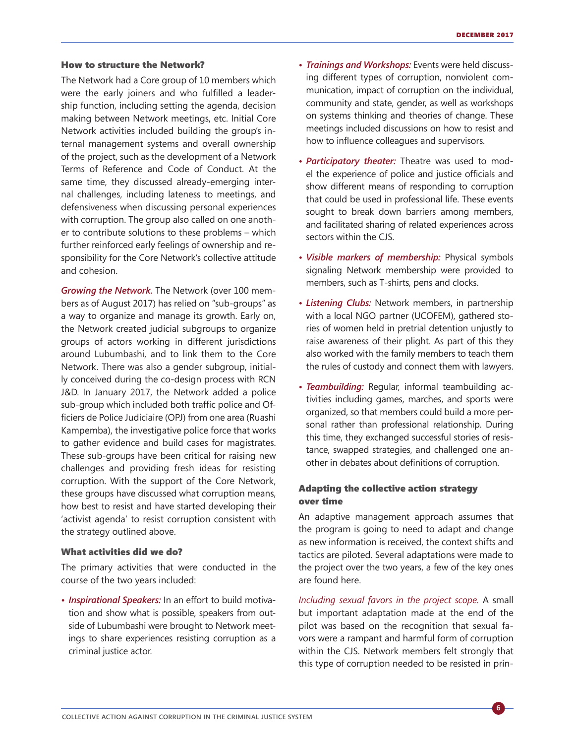#### How to structure the Network?

The Network had a Core group of 10 members which were the early joiners and who fulfilled a leadership function, including setting the agenda, decision making between Network meetings, etc. Initial Core Network activities included building the group's internal management systems and overall ownership of the project, such as the development of a Network Terms of Reference and Code of Conduct. At the same time, they discussed already-emerging internal challenges, including lateness to meetings, and defensiveness when discussing personal experiences with corruption. The group also called on one another to contribute solutions to these problems – which further reinforced early feelings of ownership and responsibility for the Core Network's collective attitude and cohesion.

*Growing the Network.* The Network (over 100 members as of August 2017) has relied on "sub-groups" as a way to organize and manage its growth. Early on, the Network created judicial subgroups to organize groups of actors working in different jurisdictions around Lubumbashi, and to link them to the Core Network. There was also a gender subgroup, initially conceived during the co-design process with RCN J&D. In January 2017, the Network added a police sub-group which included both traffic police and Officiers de Police Judiciaire (OPJ) from one area (Ruashi Kampemba), the investigative police force that works to gather evidence and build cases for magistrates. These sub-groups have been critical for raising new challenges and providing fresh ideas for resisting corruption. With the support of the Core Network, these groups have discussed what corruption means, how best to resist and have started developing their 'activist agenda' to resist corruption consistent with the strategy outlined above.

#### What activities did we do?

The primary activities that were conducted in the course of the two years included:

*• Inspirational Speakers:* In an effort to build motivation and show what is possible, speakers from outside of Lubumbashi were brought to Network meetings to share experiences resisting corruption as a criminal justice actor.

- *• Trainings and Workshops:* Events were held discussing different types of corruption, nonviolent communication, impact of corruption on the individual, community and state, gender, as well as workshops on systems thinking and theories of change. These meetings included discussions on how to resist and how to influence colleagues and supervisors.
- *• Participatory theater:* Theatre was used to model the experience of police and justice officials and show different means of responding to corruption that could be used in professional life. These events sought to break down barriers among members, and facilitated sharing of related experiences across sectors within the CJS.
- *• Visible markers of membership:* Physical symbols signaling Network membership were provided to members, such as T-shirts, pens and clocks.
- *• Listening Clubs:* Network members, in partnership with a local NGO partner (UCOFEM), gathered stories of women held in pretrial detention unjustly to raise awareness of their plight. As part of this they also worked with the family members to teach them the rules of custody and connect them with lawyers.
- *• Teambuilding:* Regular, informal teambuilding activities including games, marches, and sports were organized, so that members could build a more personal rather than professional relationship. During this time, they exchanged successful stories of resistance, swapped strategies, and challenged one another in debates about definitions of corruption.

#### Adapting the collective action strategy over time

An adaptive management approach assumes that the program is going to need to adapt and change as new information is received, the context shifts and tactics are piloted. Several adaptations were made to the project over the two years, a few of the key ones are found here.

*Including sexual favors in the project scope.* A small but important adaptation made at the end of the pilot was based on the recognition that sexual favors were a rampant and harmful form of corruption within the CJS. Network members felt strongly that this type of corruption needed to be resisted in prin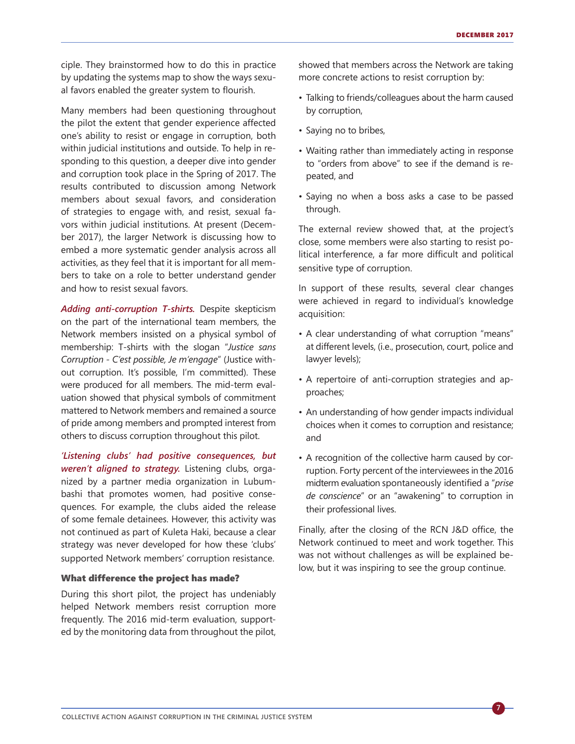ciple. They brainstormed how to do this in practice by updating the systems map to show the ways sexual favors enabled the greater system to flourish.

Many members had been questioning throughout the pilot the extent that gender experience affected one's ability to resist or engage in corruption, both within judicial institutions and outside. To help in responding to this question, a deeper dive into gender and corruption took place in the Spring of 2017. The results contributed to discussion among Network members about sexual favors, and consideration of strategies to engage with, and resist, sexual favors within judicial institutions. At present (December 2017), the larger Network is discussing how to embed a more systematic gender analysis across all activities, as they feel that it is important for all members to take on a role to better understand gender and how to resist sexual favors.

*Adding anti-corruption T-shirts.* Despite skepticism on the part of the international team members, the Network members insisted on a physical symbol of membership: T-shirts with the slogan "*Justice sans Corruption - C'est possible, Je m'engage*" (Justice without corruption. It's possible, I'm committed). These were produced for all members. The mid-term evaluation showed that physical symbols of commitment mattered to Network members and remained a source of pride among members and prompted interest from others to discuss corruption throughout this pilot.

*'Listening clubs' had positive consequences, but weren't aligned to strategy.* Listening clubs, organized by a partner media organization in Lubumbashi that promotes women, had positive consequences. For example, the clubs aided the release of some female detainees. However, this activity was not continued as part of Kuleta Haki, because a clear strategy was never developed for how these 'clubs' supported Network members' corruption resistance.

#### What difference the project has made?

During this short pilot, the project has undeniably helped Network members resist corruption more frequently. The 2016 mid-term evaluation, supported by the monitoring data from throughout the pilot,

showed that members across the Network are taking more concrete actions to resist corruption by:

- Talking to friends/colleagues about the harm caused by corruption,
- Saying no to bribes,
- Waiting rather than immediately acting in response to "orders from above" to see if the demand is repeated, and
- Saying no when a boss asks a case to be passed through.

The external review showed that, at the project's close, some members were also starting to resist political interference, a far more difficult and political sensitive type of corruption.

In support of these results, several clear changes were achieved in regard to individual's knowledge acquisition:

- A clear understanding of what corruption "means" at different levels, (i.e., prosecution, court, police and lawyer levels);
- A repertoire of anti-corruption strategies and approaches;
- An understanding of how gender impacts individual choices when it comes to corruption and resistance; and
- A recognition of the collective harm caused by corruption. Forty percent of the interviewees in the 2016 midterm evaluation spontaneously identified a "*prise de conscience*" or an "awakening" to corruption in their professional lives.

Finally, after the closing of the RCN J&D office, the Network continued to meet and work together. This was not without challenges as will be explained below, but it was inspiring to see the group continue.

**7**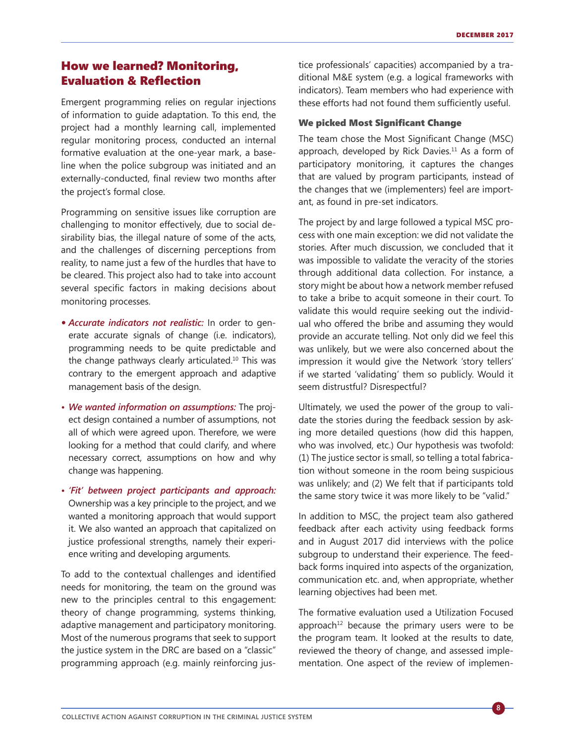## How we learned? Monitoring, Evaluation & Reflection

Emergent programming relies on regular injections of information to guide adaptation. To this end, the project had a monthly learning call, implemented regular monitoring process, conducted an internal formative evaluation at the one-year mark, a baseline when the police subgroup was initiated and an externally-conducted, final review two months after the project's formal close.

Programming on sensitive issues like corruption are challenging to monitor effectively, due to social desirability bias, the illegal nature of some of the acts, and the challenges of discerning perceptions from reality, to name just a few of the hurdles that have to be cleared. This project also had to take into account several specific factors in making decisions about monitoring processes.

- *• Accurate indicators not realistic:* In order to generate accurate signals of change (i.e. indicators), programming needs to be quite predictable and the change pathways clearly articulated.<sup>10</sup> This was contrary to the emergent approach and adaptive management basis of the design.
- *• We wanted information on assumptions:* The project design contained a number of assumptions, not all of which were agreed upon. Therefore, we were looking for a method that could clarify, and where necessary correct, assumptions on how and why change was happening.
- *• 'Fit' between project participants and approach:* Ownership was a key principle to the project, and we wanted a monitoring approach that would support it. We also wanted an approach that capitalized on justice professional strengths, namely their experience writing and developing arguments.

To add to the contextual challenges and identified needs for monitoring, the team on the ground was new to the principles central to this engagement: theory of change programming, systems thinking, [adaptive management](https://usaidlearninglab.org/lab-notes/what-adaptive-management) and [participatory monitoring.](http://monitoring-and-evaluation.blogspot.ca/2013/07/partcipatory-monitoring-and-evaluation.html) Most of the numerous programs that seek to support the justice system in the DRC are based on a "classic" programming approach (e.g. mainly reinforcing justice professionals' capacities) accompanied by a traditional M&E system (e.g. a logical frameworks with indicators). Team members who had experience with these efforts had not found them sufficiently useful.

#### We picked Most Significant Change

The team chose the Most Significant Change (MSC) approach, developed by Rick Davies.<sup>11</sup> As a form of participatory monitoring, it captures the changes that are valued by program participants, instead of the changes that we (implementers) feel are important, as found in pre-set indicators.

The project by and large followed a typical MSC process with one main exception: we did not validate the stories. After much discussion, we concluded that it was impossible to validate the veracity of the stories through additional data collection. For instance, a story might be about how a network member refused to take a bribe to acquit someone in their court. To validate this would require seeking out the individual who offered the bribe and assuming they would provide an accurate telling. Not only did we feel this was unlikely, but we were also concerned about the impression it would give the Network 'story tellers' if we started 'validating' them so publicly. Would it seem distrustful? Disrespectful?

Ultimately, we used the power of the group to validate the stories during the feedback session by asking more detailed questions (how did this happen, who was involved, etc.) Our hypothesis was twofold: (1) The justice sector is small, so telling a total fabrication without someone in the room being suspicious was unlikely; and (2) We felt that if participants told the same story twice it was more likely to be "valid."

In addition to MSC, the project team also gathered feedback after each activity using feedback forms and in August 2017 did interviews with the police subgroup to understand their experience. The feedback forms inquired into aspects of the organization, communication etc. and, when appropriate, whether learning objectives had been met.

The formative evaluation used a Utilization Focused approach<sup>12</sup> because the primary users were to be the program team. It looked at the results to date, reviewed the theory of change, and assessed implementation. One aspect of the review of implemen-

**8**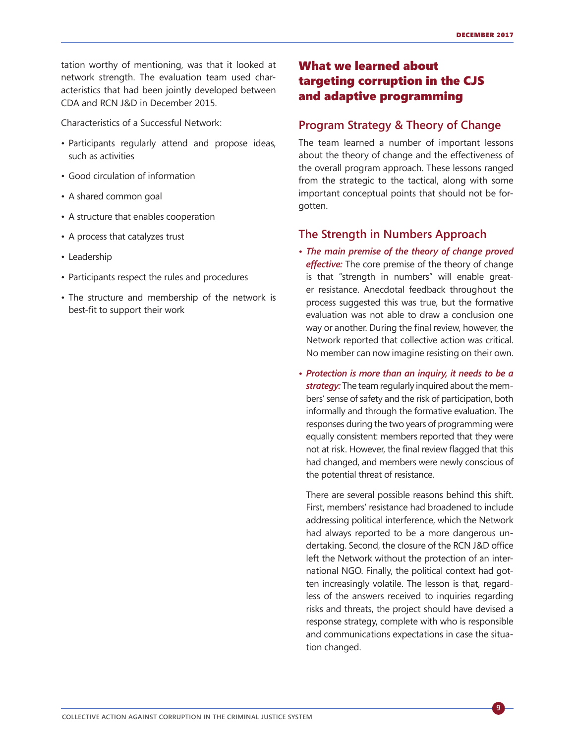tation worthy of mentioning, was that it looked at network strength. The evaluation team used characteristics that had been jointly developed between CDA and RCN J&D in December 2015.

Characteristics of a Successful Network:

- Participants regularly attend and propose ideas, such as activities
- Good circulation of information
- A shared common goal
- A structure that enables cooperation
- A process that catalyzes trust
- Leadership
- Participants respect the rules and procedures
- The structure and membership of the network is best-fit to support their work

## What we learned about targeting corruption in the CJS and adaptive programming

## **Program Strategy & Theory of Change**

The team learned a number of important lessons about the theory of change and the effectiveness of the overall program approach. These lessons ranged from the strategic to the tactical, along with some important conceptual points that should not be forgotten.

## **The Strength in Numbers Approach**

- *• The main premise of the theory of change proved effective:* The core premise of the theory of change is that "strength in numbers" will enable greater resistance. Anecdotal feedback throughout the process suggested this was true, but the formative evaluation was not able to draw a conclusion one way or another. During the final review, however, the Network reported that collective action was critical. No member can now imagine resisting on their own.
- *• Protection is more than an inquiry, it needs to be a strategy:* The team regularly inquired about the members' sense of safety and the risk of participation, both informally and through the formative evaluation. The responses during the two years of programming were equally consistent: members reported that they were not at risk. However, the final review flagged that this had changed, and members were newly conscious of the potential threat of resistance.

 There are several possible reasons behind this shift. First, members' resistance had broadened to include addressing political interference, which the Network had always reported to be a more dangerous undertaking. Second, the closure of the RCN J&D office left the Network without the protection of an international NGO. Finally, the political context had gotten increasingly volatile. The lesson is that, regardless of the answers received to inquiries regarding risks and threats, the project should have devised a response strategy, complete with who is responsible and communications expectations in case the situation changed.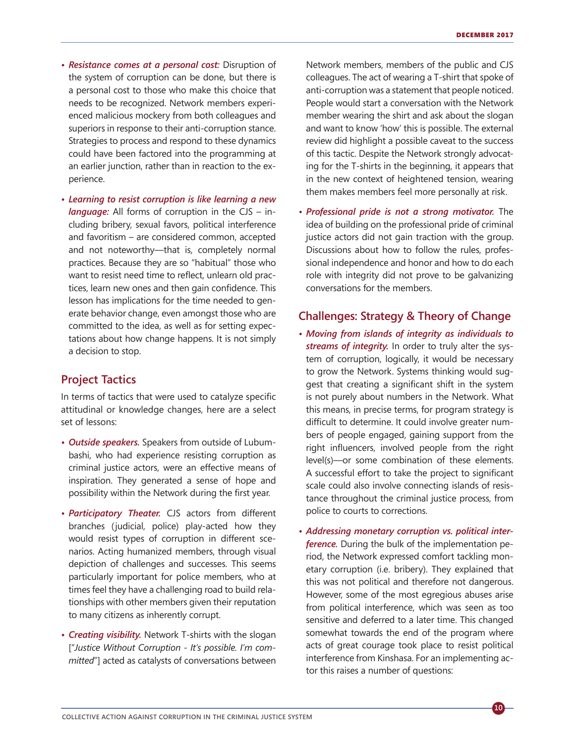- *• Resistance comes at a personal cost:* Disruption of the system of corruption can be done, but there is a personal cost to those who make this choice that needs to be recognized. Network members experienced malicious mockery from both colleagues and superiors in response to their anti-corruption stance. Strategies to process and respond to these dynamics could have been factored into the programming at an earlier junction, rather than in reaction to the experience.
- *• Learning to resist corruption is like learning a new language:* All forms of corruption in the CJS – including bribery, sexual favors, political interference and favoritism – are considered common, accepted and not noteworthy—that is, completely normal practices. Because they are so "habitual" those who want to resist need time to reflect, unlearn old practices, learn new ones and then gain confidence. This lesson has implications for the time needed to generate behavior change, even amongst those who are committed to the idea, as well as for setting expectations about how change happens. It is not simply a decision to stop.

## **Project Tactics**

In terms of tactics that were used to catalyze specific attitudinal or knowledge changes, here are a select set of lessons:

- *• Outside speakers.* Speakers from outside of Lubumbashi, who had experience resisting corruption as criminal justice actors, were an effective means of inspiration. They generated a sense of hope and possibility within the Network during the first year.
- *• Participatory Theater.* CJS actors from different branches (judicial, police) play-acted how they would resist types of corruption in different scenarios. Acting humanized members, through visual depiction of challenges and successes. This seems particularly important for police members, who at times feel they have a challenging road to build relationships with other members given their reputation to many citizens as inherently corrupt.
- *• Creating visibility.* Network T-shirts with the slogan ["*Justice Without Corruption - It's possible. I'm committed*"] acted as catalysts of conversations between

Network members, members of the public and CJS colleagues. The act of wearing a T-shirt that spoke of anti-corruption was a statement that people noticed. People would start a conversation with the Network member wearing the shirt and ask about the slogan and want to know 'how' this is possible. The external review did highlight a possible caveat to the success of this tactic. Despite the Network strongly advocating for the T-shirts in the beginning, it appears that in the new context of heightened tension, wearing them makes members feel more personally at risk.

*• Professional pride is not a strong motivator.* The idea of building on the professional pride of criminal justice actors did not gain traction with the group. Discussions about how to follow the rules, professional independence and honor and how to do each role with integrity did not prove to be galvanizing conversations for the members.

## **Challenges: Strategy & Theory of Change**

- *• Moving from islands of integrity as individuals to streams of integrity.* In order to truly alter the system of corruption, logically, it would be necessary to grow the Network. Systems thinking would suggest that creating a significant shift in the system is not purely about numbers in the Network. What this means, in precise terms, for program strategy is difficult to determine. It could involve greater numbers of people engaged, gaining support from the right influencers, involved people from the right level(s)—or some combination of these elements. A successful effort to take the project to significant scale could also involve connecting islands of resistance throughout the criminal justice process, from police to courts to corrections.
- *• Addressing monetary corruption vs. political interference.* During the bulk of the implementation period, the Network expressed comfort tackling monetary corruption (i.e. bribery). They explained that this was not political and therefore not dangerous. However, some of the most egregious abuses arise from political interference, which was seen as too sensitive and deferred to a later time. This changed somewhat towards the end of the program where acts of great courage took place to resist political interference from Kinshasa. For an implementing actor this raises a number of questions: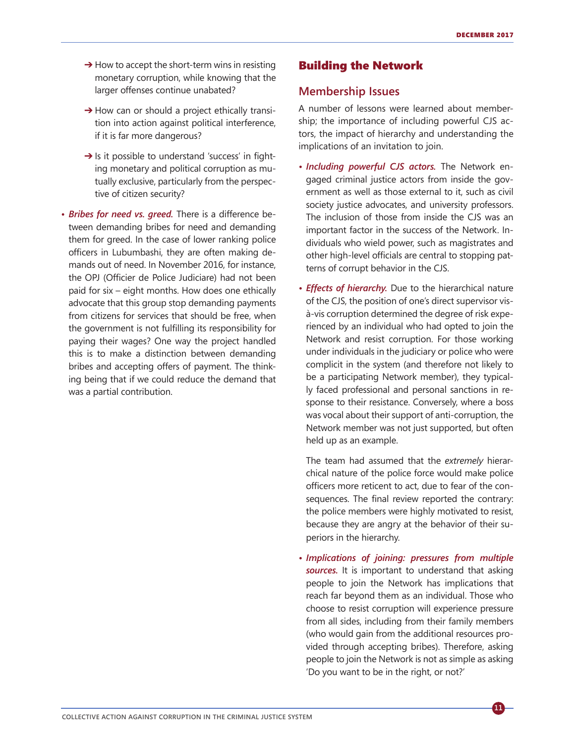- $\rightarrow$  How to accept the short-term wins in resisting monetary corruption, while knowing that the larger offenses continue unabated?
- $\rightarrow$  How can or should a project ethically transition into action against political interference, if it is far more dangerous?
- $\rightarrow$  Is it possible to understand 'success' in fighting monetary and political corruption as mutually exclusive, particularly from the perspective of citizen security?
- *• Bribes for need vs. greed.* There is a difference between demanding bribes for need and demanding them for greed. In the case of lower ranking police officers in Lubumbashi, they are often making demands out of need. In November 2016, for instance, the OPJ (Officier de Police Judiciare) had not been paid for six – eight months. How does one ethically advocate that this group stop demanding payments from citizens for services that should be free, when the government is not fulfilling its responsibility for paying their wages? One way the project handled this is to make a distinction between demanding bribes and accepting offers of payment. The thinking being that if we could reduce the demand that was a partial contribution.

## Building the Network

#### **Membership Issues**

A number of lessons were learned about membership; the importance of including powerful CJS actors, the impact of hierarchy and understanding the implications of an invitation to join.

- *• Including powerful CJS actors.* The Network engaged criminal justice actors from inside the government as well as those external to it, such as civil society justice advocates, and university professors. The inclusion of those from inside the CJS was an important factor in the success of the Network. Individuals who wield power, such as magistrates and other high-level officials are central to stopping patterns of corrupt behavior in the CJS.
- *• Effects of hierarchy.* Due to the hierarchical nature of the CJS, the position of one's direct supervisor visà-vis corruption determined the degree of risk experienced by an individual who had opted to join the Network and resist corruption. For those working under individuals in the judiciary or police who were complicit in the system (and therefore not likely to be a participating Network member), they typically faced professional and personal sanctions in response to their resistance. Conversely, where a boss was vocal about their support of anti-corruption, the Network member was not just supported, but often held up as an example.

 The team had assumed that the *extremely* hierarchical nature of the police force would make police officers more reticent to act, due to fear of the consequences. The final review reported the contrary: the police members were highly motivated to resist, because they are angry at the behavior of their superiors in the hierarchy.

*• Implications of joining: pressures from multiple sources.* It is important to understand that asking people to join the Network has implications that reach far beyond them as an individual. Those who choose to resist corruption will experience pressure from all sides, including from their family members (who would gain from the additional resources provided through accepting bribes). Therefore, asking people to join the Network is not as simple as asking 'Do you want to be in the right, or not?'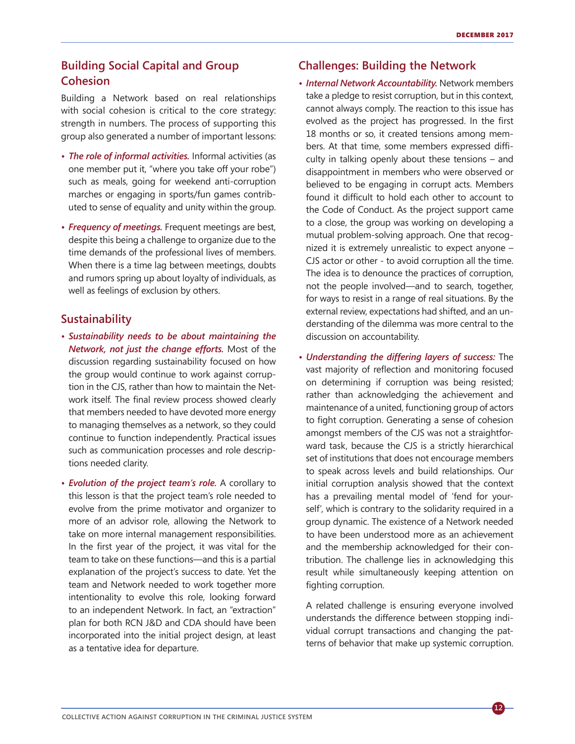## **Building Social Capital and Group Cohesion**

Building a Network based on real relationships with social cohesion is critical to the core strategy: strength in numbers. The process of supporting this group also generated a number of important lessons:

- *• The role of informal activities.* Informal activities (as one member put it, "where you take off your robe") such as meals, going for weekend anti-corruption marches or engaging in sports/fun games contributed to sense of equality and unity within the group.
- *• Frequency of meetings.* Frequent meetings are best, despite this being a challenge to organize due to the time demands of the professional lives of members. When there is a time lag between meetings, doubts and rumors spring up about loyalty of individuals, as well as feelings of exclusion by others.

#### **Sustainability**

- *• Sustainability needs to be about maintaining the Network, not just the change efforts.* Most of the discussion regarding sustainability focused on how the group would continue to work against corruption in the CJS, rather than how to maintain the Network itself. The final review process showed clearly that members needed to have devoted more energy to managing themselves as a network, so they could continue to function independently. Practical issues such as communication processes and role descriptions needed clarity.
- *• Evolution of the project team's role.* A corollary to this lesson is that the project team's role needed to evolve from the prime motivator and organizer to more of an advisor role, allowing the Network to take on more internal management responsibilities. In the first year of the project, it was vital for the team to take on these functions—and this is a partial explanation of the project's success to date. Yet the team and Network needed to work together more intentionality to evolve this role, looking forward to an independent Network. In fact, an "extraction" plan for both RCN J&D and CDA should have been incorporated into the initial project design, at least as a tentative idea for departure.

## **Challenges: Building the Network**

- *• Internal Network Accountability.* Network members take a pledge to resist corruption, but in this context, cannot always comply. The reaction to this issue has evolved as the project has progressed. In the first 18 months or so, it created tensions among members. At that time, some members expressed difficulty in talking openly about these tensions – and disappointment in members who were observed or believed to be engaging in corrupt acts. Members found it difficult to hold each other to account to the Code of Conduct. As the project support came to a close, the group was working on developing a mutual problem-solving approach. One that recognized it is extremely unrealistic to expect anyone – CJS actor or other - to avoid corruption all the time. The idea is to denounce the practices of corruption, not the people involved—and to search, together, for ways to resist in a range of real situations. By the external review, expectations had shifted, and an understanding of the dilemma was more central to the discussion on accountability.
- *• Understanding the differing layers of success:* The vast majority of reflection and monitoring focused on determining if corruption was being resisted; rather than acknowledging the achievement and maintenance of a united, functioning group of actors to fight corruption. Generating a sense of cohesion amongst members of the CJS was not a straightforward task, because the CJS is a strictly hierarchical set of institutions that does not encourage members to speak across levels and build relationships. Our initial corruption analysis showed that the context has a prevailing mental model of 'fend for yourself', which is contrary to the solidarity required in a group dynamic. The existence of a Network needed to have been understood more as an achievement and the membership acknowledged for their contribution. The challenge lies in acknowledging this result while simultaneously keeping attention on fighting corruption.

 A related challenge is ensuring everyone involved understands the difference between stopping individual corrupt transactions and changing the patterns of behavior that make up systemic corruption.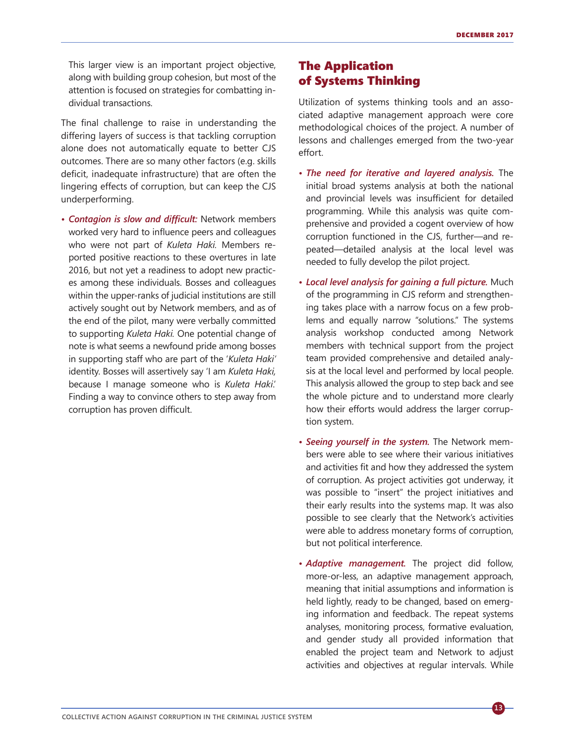This larger view is an important project objective, along with building group cohesion, but most of the attention is focused on strategies for combatting individual transactions.

The final challenge to raise in understanding the differing layers of success is that tackling corruption alone does not automatically equate to better CJS outcomes. There are so many other factors (e.g. skills deficit, inadequate infrastructure) that are often the lingering effects of corruption, but can keep the CJS underperforming.

*• Contagion is slow and difficult:* Network members worked very hard to influence peers and colleagues who were not part of *Kuleta Haki.* Members reported positive reactions to these overtures in late 2016, but not yet a readiness to adopt new practices among these individuals. Bosses and colleagues within the upper-ranks of judicial institutions are still actively sought out by Network members, and as of the end of the pilot, many were verbally committed to supporting *Kuleta Haki.* One potential change of note is what seems a newfound pride among bosses in supporting staff who are part of the '*Kuleta Haki'* identity. Bosses will assertively say 'I am *Kuleta Haki,* because I manage someone who is *Kuleta Haki*.' Finding a way to convince others to step away from corruption has proven difficult.

## The Application of Systems Thinking

Utilization of systems thinking tools and an associated adaptive management approach were core methodological choices of the project. A number of lessons and challenges emerged from the two-year effort.

- *• The need for iterative and layered analysis.* The initial broad systems analysis at both the national and provincial levels was insufficient for detailed programming. While this analysis was quite comprehensive and provided a cogent overview of how corruption functioned in the CJS, further—and repeated—detailed analysis at the local level was needed to fully develop the pilot project.
- *• Local level analysis for gaining a full picture.* Much of the programming in CJS reform and strengthening takes place with a narrow focus on a few problems and equally narrow "solutions." The systems analysis workshop conducted among Network members with technical support from the project team provided comprehensive and detailed analysis at the local level and performed by local people. This analysis allowed the group to step back and see the whole picture and to understand more clearly how their efforts would address the larger corruption system.
- *• Seeing yourself in the system.* The Network members were able to see where their various initiatives and activities fit and how they addressed the system of corruption. As project activities got underway, it was possible to "insert" the project initiatives and their early results into the systems map. It was also possible to see clearly that the Network's activities were able to address monetary forms of corruption, but not political interference.
- *• Adaptive management.* The project did follow, more-or-less, an adaptive management approach, meaning that initial assumptions and information is held lightly, ready to be changed, based on emerging information and feedback. The repeat systems analyses, monitoring process, formative evaluation, and gender study all provided information that enabled the project team and Network to adjust activities and objectives at regular intervals. While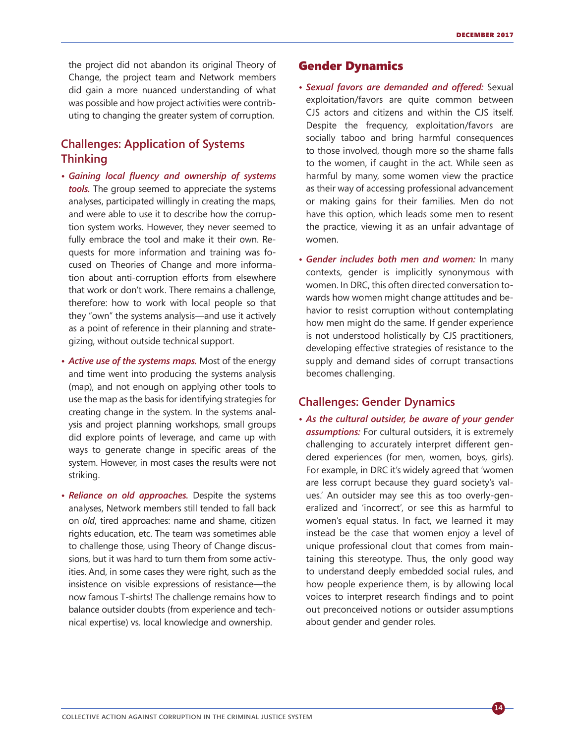the project did not abandon its original Theory of Change, the project team and Network members did gain a more nuanced understanding of what was possible and how project activities were contributing to changing the greater system of corruption.

## **Challenges: Application of Systems Thinking**

- *• Gaining local fluency and ownership of systems tools.* The group seemed to appreciate the systems analyses, participated willingly in creating the maps, and were able to use it to describe how the corruption system works. However, they never seemed to fully embrace the tool and make it their own. Requests for more information and training was focused on Theories of Change and more information about anti-corruption efforts from elsewhere that work or don't work. There remains a challenge, therefore: how to work with local people so that they "own" the systems analysis—and use it actively as a point of reference in their planning and strategizing, without outside technical support.
- *• Active use of the systems maps.* Most of the energy and time went into producing the systems analysis (map), and not enough on applying other tools to use the map as the basis for identifying strategies for creating change in the system. In the systems analysis and project planning workshops, small groups did explore points of leverage, and came up with ways to generate change in specific areas of the system. However, in most cases the results were not striking.
- *• Reliance on old approaches.* Despite the systems analyses, Network members still tended to fall back on *old*, tired approaches: name and shame, citizen rights education, etc. The team was sometimes able to challenge those, using Theory of Change discussions, but it was hard to turn them from some activities. And, in some cases they were right, such as the insistence on visible expressions of resistance—the now famous T-shirts! The challenge remains how to balance outsider doubts (from experience and technical expertise) vs. local knowledge and ownership.

### Gender Dynamics

- *• Sexual favors are demanded and offered:* Sexual exploitation/favors are quite common between CJS actors and citizens and within the CJS itself. Despite the frequency, exploitation/favors are socially taboo and bring harmful consequences to those involved, though more so the shame falls to the women, if caught in the act. While seen as harmful by many, some women view the practice as their way of accessing professional advancement or making gains for their families. Men do not have this option, which leads some men to resent the practice, viewing it as an unfair advantage of women.
- *• Gender includes both men and women:* In many contexts, gender is implicitly synonymous with women. In DRC, this often directed conversation towards how women might change attitudes and behavior to resist corruption without contemplating how men might do the same. If gender experience is not understood holistically by CJS practitioners, developing effective strategies of resistance to the supply and demand sides of corrupt transactions becomes challenging.

## **Challenges: Gender Dynamics**

*• As the cultural outsider, be aware of your gender assumptions:* For cultural outsiders, it is extremely challenging to accurately interpret different gendered experiences (for men, women, boys, girls). For example, in DRC it's widely agreed that 'women are less corrupt because they guard society's values.' An outsider may see this as too overly-generalized and 'incorrect', or see this as harmful to women's equal status. In fact, we learned it may instead be the case that women enjoy a level of unique professional clout that comes from maintaining this stereotype. Thus, the only good way to understand deeply embedded social rules, and how people experience them, is by allowing local voices to interpret research findings and to point out preconceived notions or outsider assumptions about gender and gender roles.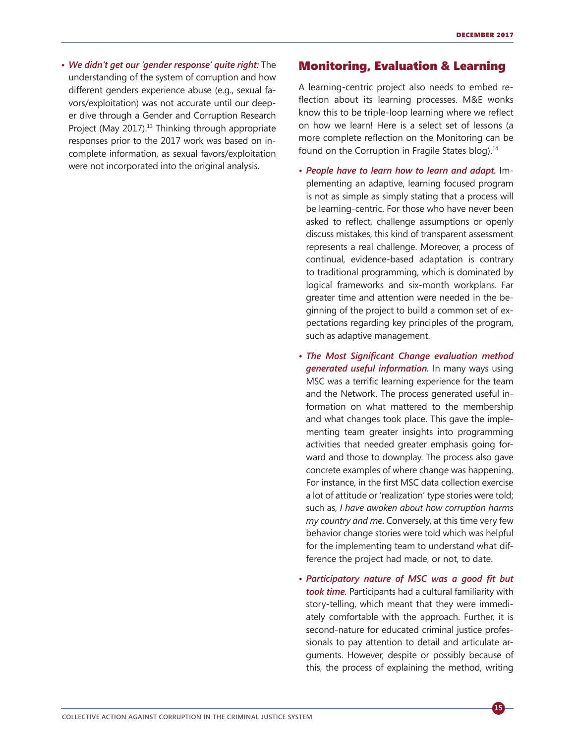*• We didn't get our 'gender response' quite right:* The understanding of the system of corruption and how different genders experience abuse (e.g., sexual favors/exploitation) was not accurate until our deeper dive through a Gender and Corruption Research Project (May 2017).<sup>13</sup> Thinking through appropriate responses prior to the 2017 work was based on incomplete information, as sexual favors/exploitation were not incorporated into the original analysis.

#### Monitoring, Evaluation & Learning

A learning-centric project also needs to embed reflection about its learning processes. M&E wonks know this to be triple-loop learning where we reflect on how we learn! Here is a select set of lessons (a more complete reflection on the Monitoring can be found on the Corruption in Fragile States blog).<sup>14</sup>

- *• People have to learn how to learn and adapt.* Implementing an adaptive, learning focused program is not as simple as simply stating that a process will be learning-centric. For those who have never been asked to reflect, challenge assumptions or openly discuss mistakes, this kind of transparent assessment represents a real challenge. Moreover, a process of continual, evidence-based adaptation is contrary to traditional programming, which is dominated by logical frameworks and six-month workplans. Far greater time and attention were needed in the beginning of the project to build a common set of expectations regarding key principles of the program, such as adaptive management.
- *• The Most Significant Change evaluation method generated useful information.* In many ways using MSC was a terrific learning experience for the team and the Network. The process generated useful information on what mattered to the membership and what changes took place. This gave the implementing team greater insights into programming activities that needed greater emphasis going forward and those to downplay. The process also gave concrete examples of where change was happening. For instance, in the first MSC data collection exercise a lot of attitude or 'realization' type stories were told; such as, *I have awoken about how corruption harms my country and me*. Conversely, at this time very few behavior change stories were told which was helpful for the implementing team to understand what difference the project had made, or not, to date.
- *• Participatory nature of MSC was a good fit but took time.* Participants had a cultural familiarity with story-telling, which meant that they were immediately comfortable with the approach. Further, it is second-nature for educated criminal justice professionals to pay attention to detail and articulate arguments. However, despite or possibly because of this, the process of explaining the method, writing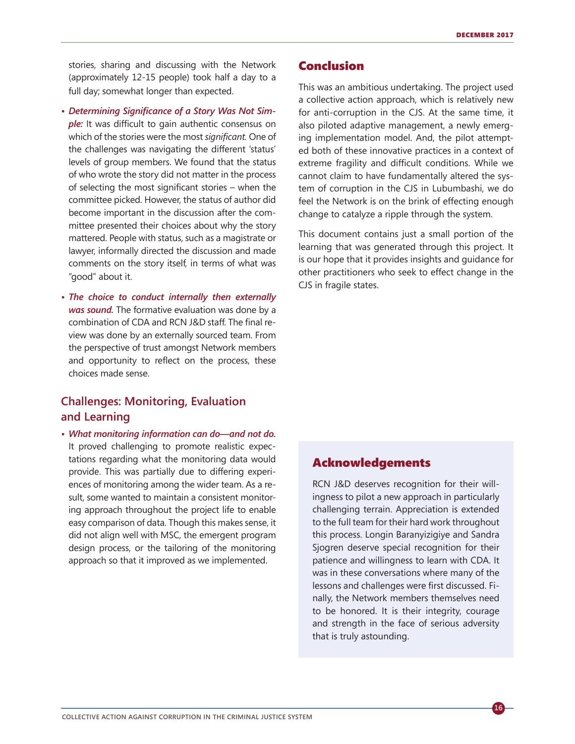stories, sharing and discussing with the Network (approximately 12-15 people) took half a day to a full day; somewhat longer than expected.

- *• Determining Significance of a Story Was Not Sim*ple: It was difficult to gain authentic consensus on which of the stories were the most *significant.* One of the challenges was navigating the different 'status' levels of group members. We found that the status of who wrote the story did not matter in the process of selecting the most significant stories – when the committee picked. However, the status of author did become important in the discussion after the committee presented their choices about why the story mattered. People with status, such as a magistrate or lawyer, informally directed the discussion and made comments on the story itself, in terms of what was "good" about it.
- *• The choice to conduct internally then externally was sound.* The formative evaluation was done by a combination of CDA and RCN J&D staff. The final review was done by an externally sourced team. From the perspective of trust amongst Network members and opportunity to reflect on the process, these choices made sense.

## **Challenges: Monitoring, Evaluation and Learning**

*• What monitoring information can do—and not do.* It proved challenging to promote realistic expectations regarding what the monitoring data would provide. This was partially due to differing experiences of monitoring among the wider team. As a result, some wanted to maintain a consistent monitoring approach throughout the project life to enable easy comparison of data. Though this makes sense, it did not align well with MSC, the emergent program design process, or the tailoring of the monitoring approach so that it improved as we implemented.

#### Conclusion

This was an ambitious undertaking. The project used a collective action approach, which is relatively new for anti-corruption in the CJS. At the same time, it also piloted adaptive management, a newly emerging implementation model. And, the pilot attempted both of these innovative practices in a context of extreme fragility and difficult conditions. While we cannot claim to have fundamentally altered the system of corruption in the CJS in Lubumbashi, we do feel the Network is on the brink of effecting enough change to catalyze a ripple through the system.

This document contains just a small portion of the learning that was generated through this project. It is our hope that it provides insights and guidance for other practitioners who seek to effect change in the CJS in fragile states.

## Acknowledgements

RCN J&D deserves recognition for their willingness to pilot a new approach in particularly challenging terrain. Appreciation is extended to the full team for their hard work throughout this process. Longin Baranyizigiye and Sandra Sjogren deserve special recognition for their patience and willingness to learn with CDA. It was in these conversations where many of the lessons and challenges were first discussed. Finally, the Network members themselves need to be honored. It is their integrity, courage and strength in the face of serious adversity that is truly astounding.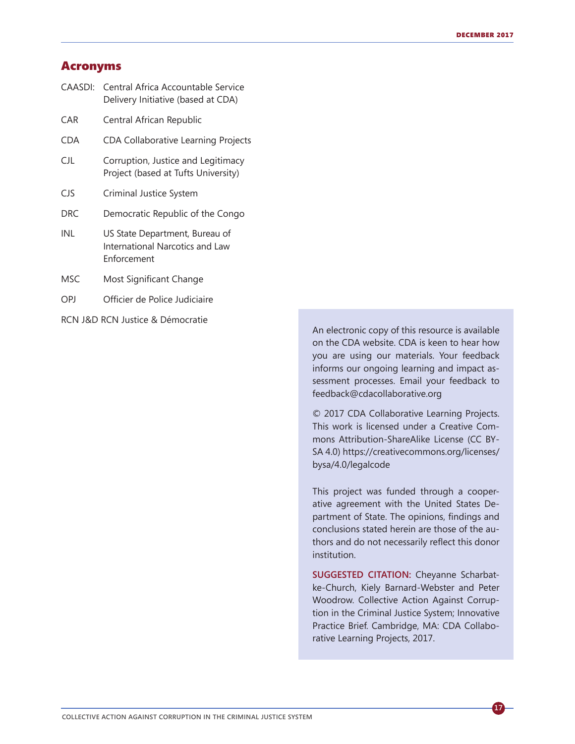## Acronyms

| CAASDI:    | Central Africa Accountable Service<br>Delivery Initiative (based at CDA)         |
|------------|----------------------------------------------------------------------------------|
| CAR        | Central African Republic                                                         |
| <b>CDA</b> | <b>CDA Collaborative Learning Projects</b>                                       |
| CJL        | Corruption, Justice and Legitimacy<br>Project (based at Tufts University)        |
| CJS.       | Criminal Justice System                                                          |
| <b>DRC</b> | Democratic Republic of the Congo                                                 |
| INL        | US State Department, Bureau of<br>International Narcotics and Law<br>Enforcement |
| MSC.       | Most Significant Change                                                          |
| OPJ        | Officier de Police Judiciaire                                                    |
|            |                                                                                  |

RCN J&D RCN Justice & Démocratie

An electronic copy of this resource is available on the CDA website. CDA is keen to hear how you are using our materials. Your feedback informs our ongoing learning and impact assessment processes. Email your feedback to feedback@cdacollaborative.org

© 2017 CDA Collaborative Learning Projects. This work is licensed under a Creative Commons Attribution-ShareAlike License (CC BY-SA 4.0) https://creativecommons.org/licenses/ bysa/4.0/legalcode

This project was funded through a cooperative agreement with the United States Department of State. The opinions, findings and conclusions stated herein are those of the authors and do not necessarily reflect this donor institution.

**SUGGESTED CITATION:** Cheyanne Scharbatke-Church, Kiely Barnard-Webster and Peter Woodrow. Collective Action Against Corruption in the Criminal Justice System; Innovative Practice Brief. Cambridge, MA: CDA Collaborative Learning Projects, 2017.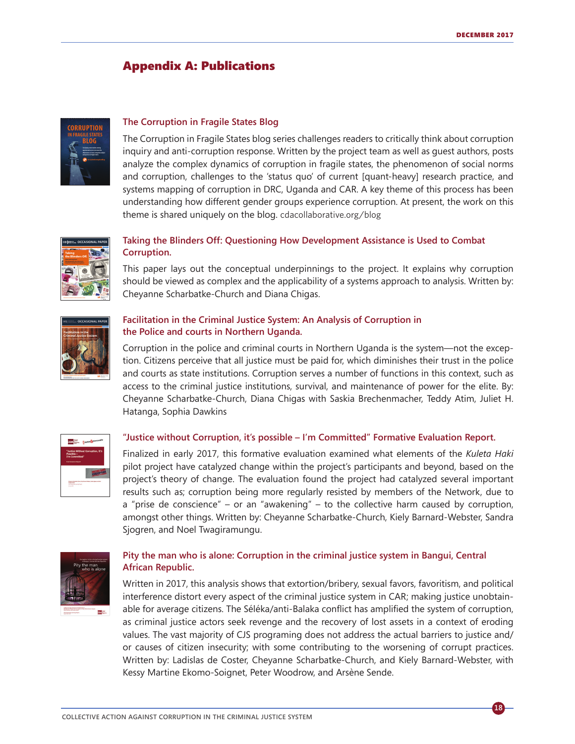**18**

## Appendix A: Publications



#### **[The Corruption in Fragile States Blog](http://cdacollaborative.org/blog/)**

The Corruption in Fragile States blog series challenges readers to critically think about corruption inquiry and anti-corruption response. Written by the project team as well as guest authors, posts analyze the complex dynamics of corruption in fragile states, the phenomenon of social norms and corruption, challenges to the 'status quo' of current [quant-heavy] research practice, and systems mapping of corruption in DRC, Uganda and CAR. A key theme of this process has been understanding how different gender groups experience corruption. At present, the work on this theme is shared uniquely on the blog. [cdacollaborative.org/blog](http://cdacollaborative.org/blog/)



#### **Taking [the Blinders Off: Questioning How](http://cdacollaborative.org/publication/taking-blinders-off-questioning-development-assistance-used-combat-corruption/) Development Assistance is Used to Combat [Corruption.](http://cdacollaborative.org/publication/taking-blinders-off-questioning-development-assistance-used-combat-corruption/)**

This paper lays out the conceptual underpinnings to the project. It explains why corruption should be viewed as complex and the applicability of a systems approach to analysis. Written by: Cheyanne Scharbatke-Church and Diana Chigas.



#### **[Facilitation in the Criminal Justice System: An Analysis of Corruption in](http://fletcher.tufts.edu/~/media/Fletcher/Microsites/Human%2520Security/Facilitation%2520in%2520the%2520Criminal%2520Justice%2520System.pdf)  [the Police and courts in Northern Uganda.](http://fletcher.tufts.edu/~/media/Fletcher/Microsites/Human%2520Security/Facilitation%2520in%2520the%2520Criminal%2520Justice%2520System.pdf)**

Corruption in the police and criminal courts in Northern Uganda is the system—not the exception. Citizens perceive that all justice must be paid for, which diminishes their trust in the police and courts as state institutions. Corruption serves a number of functions in this context, such as access to the criminal justice institutions, survival, and maintenance of power for the elite. By: Cheyanne Scharbatke-Church, Diana Chigas with Saskia Brechenmacher, Teddy Atim, Juliet H. Hatanga, Sophia Dawkins



#### **["Justice without Corruption, it's possible – I'm Committed" Formative Evaluation Report.](http://cdacollaborative.org/wordpress/wp-content/uploads/2017/03/Justice-without-corruption-Final-Report.pdf)**

Finalized in early 2017, this formative evaluation examined what elements of the *Kuleta Haki* pilot project have catalyzed change within the project's participants and beyond, based on the project's theory of change. The evaluation found the project had catalyzed several important results such as; corruption being more regularly resisted by members of the Network, due to a "prise de conscience" – or an "awakening" – to the collective harm caused by corruption, amongst other things. Written by: Cheyanne Scharbatke-Church, Kiely Barnard-Webster, Sandra Sjogren, and Noel Twagiramungu.



#### **[Pity the man who is alone: Corruption in the criminal justice system in Bangui, Central](http://cdacollaborative.org/publication/pity-man-alone-corruption-criminal-justice-system-bangui-central-african-republic/)  [African Republic.](http://cdacollaborative.org/publication/pity-man-alone-corruption-criminal-justice-system-bangui-central-african-republic/)**

Written in 2017, this analysis shows that extortion/bribery, sexual favors, favoritism, and political interference distort every aspect of the criminal justice system in CAR; making justice unobtainable for average citizens. The Séléka/anti-Balaka conflict has amplified the system of corruption, as criminal justice actors seek revenge and the recovery of lost assets in a context of eroding values. The vast majority of CJS programing does not address the actual barriers to justice and/ or causes of citizen insecurity; with some contributing to the worsening of corrupt practices. Written by: Ladislas de Coster, Cheyanne Scharbatke-Church, and Kiely Barnard-Webster, with Kessy Martine Ekomo-Soignet, Peter Woodrow, and Arsène Sende.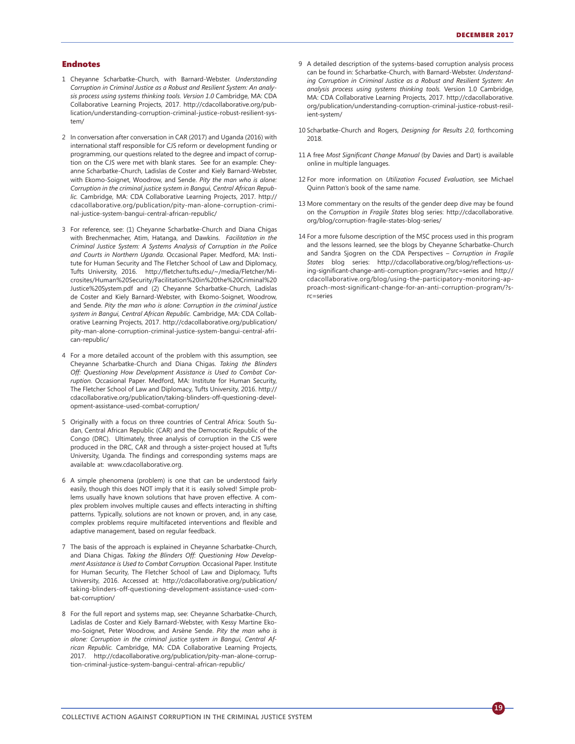#### Endnotes

- 1 Cheyanne Scharbatke-Church, with Barnard-Webster. *Understanding Corruption in Criminal Justice as a Robust and Resilient System: An analysis process using systems thinking tools. Version 1.0* Cambridge, MA: CDA Collaborative Learning Projects, 2017. http://cdacollaborative.org/publication/understanding-corruption-criminal-justice-robust-resilient-system/
- 2 In conversation after conversation in CAR (2017) and Uganda (2016) with international staff responsible for CJS reform or development funding or programming, our questions related to the degree and impact of corruption on the CJS were met with blank stares. See for an example: Cheyanne Scharbatke-Church, Ladislas de Coster and Kiely Barnard-Webster, with Ekomo-Soignet, Woodrow, and Sende. *Pity the man who is alone: Corruption in the criminal justice system in Bangui, Central African Republic.* Cambridge, MA: CDA Collaborative Learning Projects, 2017. http:// cdacollaborative.org/publication/pity-man-alone-corruption-criminal-justice-system-bangui-central-african-republic/
- 3 For reference, see: (1) Cheyanne Scharbatke-Church and Diana Chigas with Brechenmacher, Atim, Hatanga, and Dawkins. *Facilitation in the Criminal Justice System: A Systems Analysis of Corruption in the Police and Courts in Northern Uganda.* Occasional Paper. Medford, MA: Institute for Human Security and The Fletcher School of Law and Diplomacy, Tufts University, 2016. http://fletcher.tufts.edu/~/media/Fletcher/Microsites/Human%20Security/Facilitation%20in%20the%20Criminal%20 Justice%20System.pdf and (2) Cheyanne Scharbatke-Church, Ladislas de Coster and Kiely Barnard-Webster, with Ekomo-Soignet, Woodrow, and Sende. *Pity the man who is alone: Corruption in the criminal justice system in Bangui, Central African Republic.* Cambridge, MA: CDA Collaborative Learning Projects, 2017. http://cdacollaborative.org/publication/ pity-man-alone-corruption-criminal-justice-system-bangui-central-african-republic/
- 4 For a more detailed account of the problem with this assumption, see Cheyanne Scharbatke-Church and Diana Chigas. *Taking the Blinders Off: Questioning How Development Assistance is Used to Combat Corruption.* Occasional Paper. Medford, MA: Institute for Human Security, The Fletcher School of Law and Diplomacy, Tufts University, 2016. http:// cdacollaborative.org/publication/taking-blinders-off-questioning-development-assistance-used-combat-corruption/
- 5 Originally with a focus on three countries of Central Africa: South Sudan, Central African Republic (CAR) and the Democratic Republic of the Congo (DRC). Ultimately, three analysis of corruption in the CJS were produced in the DRC, CAR and through a sister-project housed at Tufts University, Uganda. The findings and corresponding systems maps are available at: www.cdacollaborative.org.
- 6 A simple phenomena (problem) is one that can be understood fairly easily, though this does NOT imply that it is easily solved! Simple problems usually have known solutions that have proven effective. A complex problem involves multiple causes and effects interacting in shifting patterns. Typically, solutions are not known or proven, and, in any case, complex problems require multifaceted interventions and flexible and adaptive management, based on regular feedback.
- 7 The basis of the approach is explained in Cheyanne Scharbatke-Church, and Diana Chigas. *Taking the Blinders Off: Questioning How Development Assistance is Used to Combat Corruption.* Occasional Paper. Institute for Human Security, The Fletcher School of Law and Diplomacy, Tufts University, 2016. Accessed at: http://cdacollaborative.org/publication/ taking-blinders-off-questioning-development-assistance-used-combat-corruption/
- 8 For the full report and systems map, see: Cheyanne Scharbatke-Church, Ladislas de Coster and Kiely Barnard-Webster, with Kessy Martine Ekomo-Soignet, Peter Woodrow, and Arsène Sende. *Pity the man who is alone: Corruption in the criminal justice system in Bangui, Central African Republic.* Cambridge, MA: CDA Collaborative Learning Projects, 2017. http://cdacollaborative.org/publication/pity-man-alone-corruption-criminal-justice-system-bangui-central-african-republic/
- 9 A detailed description of the systems-based corruption analysis process can be found in: Scharbatke-Church, with Barnard-Webster. *Understanding Corruption in Criminal Justice as a Robust and Resilient System: An analysis process using systems thinking tools.* Version 1.0 Cambridge, MA: CDA Collaborative Learning Projects, 2017. http://cdacollaborative. org/publication/understanding-corruption-criminal-justice-robust-resilient-system/
- 10 Scharbatke-Church and Rogers, *Designing for Results 2.0*, forthcoming 2018.
- 11 A free *Most Significant Change Manual* (by Davies and Dart) is available online in multiple languages.
- 12 For more information on *Utilization Focused Evaluation*, see Michael Quinn Patton's book of the same name.
- 13 More commentary on the results of the gender deep dive may be found on the *Corruption in Fragile States* blog series: http://cdacollaborative. org/blog/corruption-fragile-states-blog-series/
- 14 For a more fulsome description of the MSC process used in this program and the lessons learned, see the blogs by Cheyanne Scharbatke-Church and Sandra Sjogren on the CDA Perspectives – *Corruption in Fragile States* blog series: http://cdacollaborative.org/blog/reflections-using-significant-change-anti-corruption-program/?src=series and http:// cdacollaborative.org/blog/using-the-participatory-monitoring-approach-most-significant-change-for-an-anti-corruption-program/?src=series